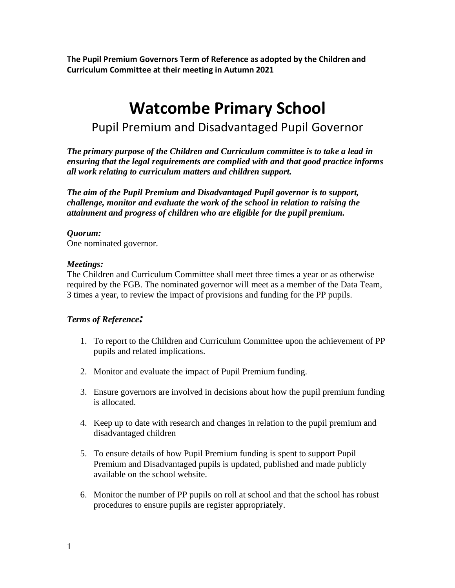**The Pupil Premium Governors Term of Reference as adopted by the Children and Curriculum Committee at their meeting in Autumn 2021**

# **Watcombe Primary School** Pupil Premium and Disadvantaged Pupil Governor

*The primary purpose of the Children and Curriculum committee is to take a lead in ensuring that the legal requirements are complied with and that good practice informs all work relating to curriculum matters and children support.* 

*The aim of the Pupil Premium and Disadvantaged Pupil governor is to support, challenge, monitor and evaluate the work of the school in relation to raising the attainment and progress of children who are eligible for the pupil premium.*

### *Quorum:*

One nominated governor.

#### *Meetings:*

The Children and Curriculum Committee shall meet three times a year or as otherwise required by the FGB. The nominated governor will meet as a member of the Data Team, 3 times a year, to review the impact of provisions and funding for the PP pupils.

### *Terms of Reference:*

- 1. To report to the Children and Curriculum Committee upon the achievement of PP pupils and related implications.
- 2. Monitor and evaluate the impact of Pupil Premium funding.
- 3. Ensure governors are involved in decisions about how the pupil premium funding is allocated.
- 4. Keep up to date with research and changes in relation to the pupil premium and disadvantaged children
- 5. To ensure details of how Pupil Premium funding is spent to support Pupil Premium and Disadvantaged pupils is updated, published and made publicly available on the school website.
- 6. Monitor the number of PP pupils on roll at school and that the school has robust procedures to ensure pupils are register appropriately.